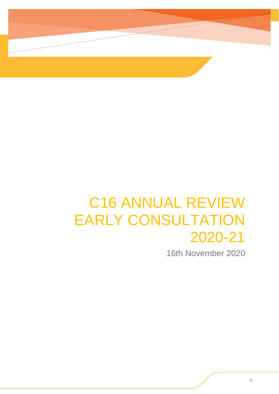# C16 ANNUAL REVIEW EARLY CONSULTATION 2020-21

16th November 2020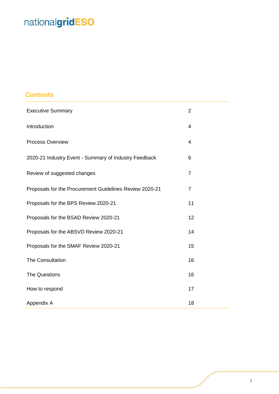### **Contents**

| <b>Executive Summary</b>                                | $\overline{2}$ |
|---------------------------------------------------------|----------------|
| Introduction                                            | $\overline{4}$ |
| Process Overview                                        | $\overline{4}$ |
| 2020-21 Industry Event - Summary of Industry Feedback   | 6              |
| Review of suggested changes                             | $\overline{7}$ |
| Proposals for the Procurement Guidelines Review 2020-21 | $\overline{7}$ |
| Proposals for the BPS Review 2020-21                    | 11             |
| Proposals for the BSAD Review 2020-21                   | 12             |
| Proposals for the ABSVD Review 2020-21                  | 14             |
| Proposals for the SMAF Review 2020-21                   | 15             |
| The Consultation                                        | 16             |
| <b>The Questions</b>                                    | 16             |
| How to respond                                          | 17             |
| Appendix A                                              | 18             |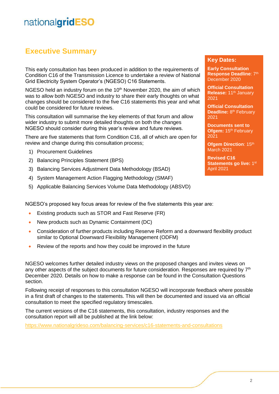### **Executive Summary**

This early consultation has been produced in addition to the requirements of Condition C16 of the Transmission Licence to undertake a review of National Grid Electricity System Operator's (NGESO) C16 Statements.

NGESO held an industry forum on the 10<sup>th</sup> November 2020, the aim of which was to allow both NGESO and industry to share their early thoughts on what changes should be considered to the five C16 statements this year and what could be considered for future reviews.

This consultation will summarise the key elements of that forum and allow wider industry to submit more detailed thoughts on both the changes NGESO should consider during this year's review and future reviews.

There are five statements that form Condition C16, all of which are open for review and change during this consultation process;

- 1) Procurement Guidelines
- 2) Balancing Principles Statement (BPS)
- 3) Balancing Services Adjustment Data Methodology (BSAD)
- 4) System Management Action Flagging Methodology (SMAF)
- 5) Applicable Balancing Services Volume Data Methodology (ABSVD)

### **Key Dates:**

**Early Consultation Response Deadline: 7th** December 2020

**Official Consultation Release: 11<sup>th</sup> January** 2021

**Official Consultation Deadline: 8<sup>th</sup> February** 2021

**Documents sent to Ofgem: 15th February** 2021

**Ofgem Direction: 15th** March 2021

**Revised C16**  Statements go live: 1st April 2021

NGESO's proposed key focus areas for review of the five statements this year are:

- Existing products such as STOR and Fast Reserve (FR)
- New products such as Dynamic Containment (DC)
- Consideration of further products including Reserve Reform and a downward flexibility product similar to Optional Downward Flexibility Management (ODFM)
- Review of the reports and how they could be improved in the future

NGESO welcomes further detailed industry views on the proposed changes and invites views on any other aspects of the subject documents for future consideration. Responses are required by 7<sup>th</sup> December 2020. Details on how to make a response can be found in the Consultation Questions section.

Following receipt of responses to this consultation NGESO will incorporate feedback where possible in a first draft of changes to the statements. This will then be documented and issued via an official consultation to meet the specified regulatory timescales.

The current versions of the C16 statements, this consultation, industry responses and the consultation report will all be published at the link below:

<https://www.nationalgrideso.com/balancing-services/c16-statements-and-consultations>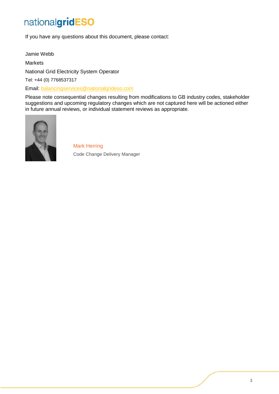If you have any questions about this document, please contact:

Jamie Webb **Markets** National Grid Electricity System Operator Tel: +44 (0) 7768537317 Email: [balancingservices@nationalgrideso.com](mailto:balancingservices@nationalgrideso.com)

Please note consequential changes resulting from modifications to GB industry codes, stakeholder suggestions and upcoming regulatory changes which are not captured here will be actioned either in future annual reviews, or individual statement reviews as appropriate.



Mark Herring Code Change Delivery Manager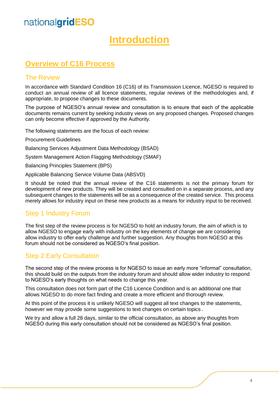### **Introduction**

### **Overview of C16 Process**

### The Review

In accordance with Standard Condition 16 (C16) of its Transmission Licence, NGESO is required to conduct an annual review of all licence statements, regular reviews of the methodologies and, if appropriate, to propose changes to these documents.

The purpose of NGESO's annual review and consultation is to ensure that each of the applicable documents remains current by seeking industry views on any proposed changes. Proposed changes can only become effective if approved by the Authority.

The following statements are the focus of each review:

Procurement Guidelines

Balancing Services Adjustment Data Methodology (BSAD)

System Management Action Flagging Methodology (SMAF)

Balancing Principles Statement (BPS)

Applicable Balancing Service Volume Data (ABSVD)

It should be noted that the annual review of the C16 statements is not the primary forum for development of new products. They will be created and consulted on in a separate process, and any subsequent changes to the statements will be as a consequence of the created service. This process merely allows for industry input on these new products as a means for industry input to be received.

### Step 1 Industry Forum

The first step of the review process is for NGESO to hold an industry forum, the aim of which is to allow NGESO to engage early with industry on the key elements of change we are considering allow industry to offer early challenge and further suggestion. Any thoughts from NGESO at this forum should not be considered as NGESO's final position.

### Step 2 Early Consultation

The second step of the review process is for NGESO to issue an early more "informal" consultation, this should build on the outputs from the industry forum and should allow wider industry to respond to NGESO's early thoughts on what needs to change this year.

This consultation does not form part of the C16 Licence Condition and is an additional one that allows NGESO to do more fact finding and create a more efficient and thorough review.

At this point of the process it is unlikely NGESO will suggest all text changes to the statements, however we may provide some suggestions to text changes on certain topics .

We try and allow a full 28 days, similar to the official consultation, as above any thoughts from NGESO during this early consultation should not be considered as NGESO's final position.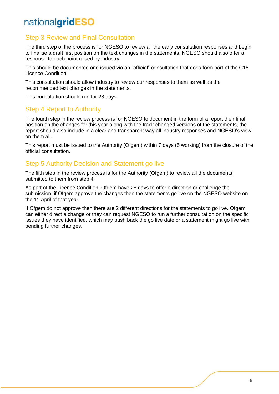### Step 3 Review and Final Consultation

The third step of the process is for NGESO to review all the early consultation responses and begin to finalise a draft first position on the text changes in the statements, NGESO should also offer a response to each point raised by industry.

This should be documented and issued via an "official" consultation that does form part of the C16 Licence Condition.

This consultation should allow industry to review our responses to them as well as the recommended text changes in the statements.

This consultation should run for 28 days.

### Step 4 Report to Authority

The fourth step in the review process is for NGESO to document in the form of a report their final position on the changes for this year along with the track changed versions of the statements, the report should also include in a clear and transparent way all industry responses and NGESO's view on them all.

This report must be issued to the Authority (Ofgem) within 7 days (5 working) from the closure of the official consultation.

### Step 5 Authority Decision and Statement go live

The fifth step in the review process is for the Authority (Ofgem) to review all the documents submitted to them from step 4.

As part of the Licence Condition, Ofgem have 28 days to offer a direction or challenge the submission, if Ofgem approve the changes then the statements go live on the NGESO website on the 1<sup>st</sup> April of that year.

If Ofgem do not approve then there are 2 different directions for the statements to go live. Ofgem can either direct a change or they can request NGESO to run a further consultation on the specific issues they have identified, which may push back the go live date or a statement might go live with pending further changes.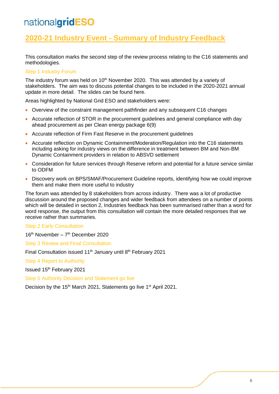### **2020-21 Industry Event - Summary of Industry Feedback**

This consultation marks the second step of the review process relating to the C16 statements and methodologies.

### Step 1 Industry Forum

The industry forum was held on 10<sup>th</sup> November 2020. This was attended by a variety of stakeholders. The aim was to discuss potential changes to be included in the 2020-2021 annual update in more detail. The slides can be found here.

Areas highlighted by National Grid ESO and stakeholders were:

- Overview of the constraint management pathfinder and any subsequent C16 changes
- Accurate reflection of STOR in the procurement guidelines and general compliance with day ahead procurement as per Clean energy package 6(9)
- Accurate reflection of Firm Fast Reserve in the procurement guidelines
- Accurate reflection on Dynamic Containment/Moderation/Regulation into the C16 statements including asking for industry views on the difference in treatment between BM and Non-BM Dynamic Containment providers in relation to ABSVD settlement
- Consideration for future services through Reserve reform and potential for a future service similar to ODFM
- Discovery work on BPS/SMAF/Procurement Guideline reports, identifying how we could improve them and make them more useful to industry

The forum was attended by 8 stakeholders from across industry. There was a lot of productive discussion around the proposed changes and wider feedback from attendees on a number of points which will be detailed in section 2, Industries feedback has been summarised rather than a word for word response, the output from this consultation will contain the more detailed responses that we receive rather than summaries.

### Step 2 Early Consultation

16<sup>th</sup> November - 7<sup>th</sup> December 2020

Step 3 Review and Final Consultation

Final Consultation issued 11<sup>th</sup> January until 8<sup>th</sup> February 2021

Step 4 Report to Authority

Issued 15<sup>th</sup> February 2021

Step 5 Authority Decision and Statement go live

Decision by the 15<sup>th</sup> March 2021, Statements go live 1<sup>st</sup> April 2021.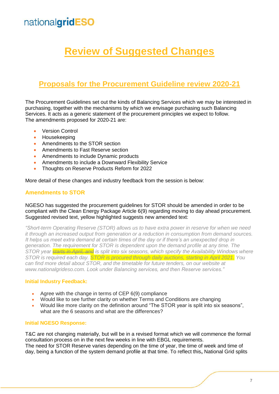## **Review of Suggested Changes**

### **Proposals for the Procurement Guideline review 2020-21**

The Procurement Guidelines set out the kinds of Balancing Services which we may be interested in purchasing, together with the mechanisms by which we envisage purchasing such Balancing Services. It acts as a generic statement of the procurement principles we expect to follow. The amendments proposed for 2020-21 are:

- Version Control
- Housekeeping
- Amendments to the STOR section
- Amendments to Fast Reserve section
- Amendments to include Dynamic products
- Amendments to include a Downward Flexibility Service
- Thoughts on Reserve Products Reform for 2022

More detail of these changes and industry feedback from the session is below:

### **Amendments to STOR**

NGESO has suggested the procurement guidelines for STOR should be amended in order to be compliant with the Clean Energy Package Article 6(9) regarding moving to day ahead procurement. Suggested revised text, yellow highlighted suggests new amended text:

*"Short-term Operating Reserve (STOR) allows us to have extra power in reserve for when we need it through an increased output from generation or a reduction in consumption from demand sources. It helps us meet extra demand at certain times of the day or if there's an unexpected drop in generation. The requirement for STOR is dependent upon the demand profile at any time. The STOR year starts in April, and is split into six seasons, which specify the Availability Windows where STOR is required each day. STOR is procured through daily auctions, starting in April 2021. You can find more detail about STOR, and the timetable for future tenders, on our website at www.nationalgrideso.com. Look under Balancing services, and then Reserve services."*

### **Initial Industry Feedback:**

- Agree with the change in terms of CEP 6(9) compliance
- Would like to see further clarity on whether Terms and Conditions are changing
- Would like more clarity on the definition around "The STOR year is split into six seasons", what are the 6 seasons and what are the differences?

#### **Initial NGESO Response:**

T&C are not changing materially, but will be in a revised format which we will commence the formal consultation process on in the next few weeks in line with EBGL requirements. The need for STOR Reserve varies depending on the time of year, the time of week and time of day, being a function of the system demand profile at that time. To reflect this**,** National Grid splits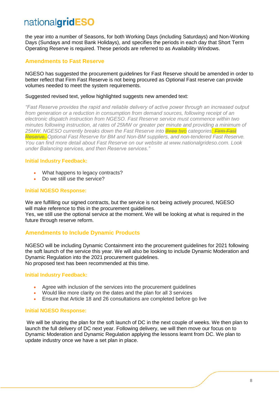the year into a number of Seasons, for both Working Days (including Saturdays) and Non-Working Days (Sundays and most Bank Holidays), and specifies the periods in each day that Short Term Operating Reserve is required. These periods are referred to as Availability Windows.

### **Amendments to Fast Reserve**

NGESO has suggested the procurement guidelines for Fast Reserve should be amended in order to better reflect that Firm Fast Reserve is not being procured as Optional Fast reserve can provide volumes needed to meet the system requirements.

### Suggested revised text, yellow highlighted suggests new amended text:

*"Fast Reserve provides the rapid and reliable delivery of active power through an increased output from generation or a reduction in consumption from demand sources, following receipt of an electronic dispatch instruction from NGESO. Fast Reserve service must commence within two minutes following instruction, at rates of 25MW or greater per minute and providing a minimum of 25MW. NGESO currently breaks down the Fast Reserve into three two categories: Firm Fast Reserve, Optional Fast Reserve for BM and Non-BM suppliers, and non-tendered Fast Reserve. You can find more detail about Fast Reserve on our website at www.nationalgrideso.com. Look under Balancing services, and then Reserve services."*

### **Initial Industry Feedback:**

- What happens to legacy contracts?
- Do we still use the service?

### **Initial NGESO Response:**

We are fulfilling our signed contracts, but the service is not being actively procured, NGESO will make reference to this in the procurement quidelines. Yes, we still use the optional service at the moment. We will be looking at what is required in the future through reserve reform.

### **Amendments to Include Dynamic Products**

NGESO will be including Dynamic Containment into the procurement guidelines for 2021 following the soft launch of the service this year. We will also be looking to include Dynamic Moderation and Dynamic Regulation into the 2021 procurement guidelines. No proposed text has been recommended at this time.

### **Initial Industry Feedback:**

- Agree with inclusion of the services into the procurement guidelines
- Would like more clarity on the dates and the plan for all 3 services
- Ensure that Article 18 and 26 consultations are completed before go live

### **Initial NGESO Response:**

We will be sharing the plan for the soft launch of DC in the next couple of weeks. We then plan to launch the full delivery of DC next year. Following delivery, we will then move our focus on to Dynamic Moderation and Dynamic Regulation applying the lessons learnt from DC. We plan to update industry once we have a set plan in place.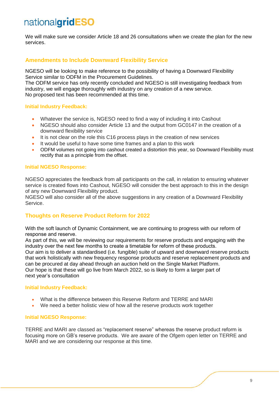We will make sure we consider Article 18 and 26 consultations when we create the plan for the new services.

### **Amendments to Include Downward Flexibility Service**

NGESO will be looking to make reference to the possibility of having a Downward Flexibility Service similar to ODFM in the Procurement Guidelines.

The ODFM service has only recently concluded and NGESO is still investigating feedback from industry, we will engage thoroughly with industry on any creation of a new service. No proposed text has been recommended at this time.

#### **Initial Industry Feedback:**

- Whatever the service is, NGESO need to find a way of including it into Cashout
- NGESO should also consider Article 13 and the output from GC0147 in the creation of a downward flexibility service
- It is not clear on the role this C16 process plays in the creation of new services
- It would be useful to have some time frames and a plan to this work
- ODFM volumes not going into cashout created a distortion this year, so Downward Flexibility must rectify that as a principle from the offset.

#### **Initial NGESO Response:**

NGESO appreciates the feedback from all participants on the call, in relation to ensuring whatever service is created flows into Cashout, NGESO will consider the best approach to this in the design of any new Downward Flexibility product.

NGESO will also consider all of the above suggestions in any creation of a Downward Flexibility Service.

### **Thoughts on Reserve Product Reform for 2022**

With the soft launch of Dynamic Containment, we are continuing to progress with our reform of response and reserve.  

As part of this, we will be reviewing our requirements for reserve products and engaging with the industry over the next few months to create a timetable for reform of these products.  

Our aim is to deliver a standardised (i.e. fungible) suite of upward and downward reserve products that work holistically with new frequency response products and reserve replacement products and can be procured at day ahead through an auction held on the Single Market Platform.

Our hope is that these will go live from March 2022, so is likely to form a larger part of next year's consultation

#### **Initial Industry Feedback:**

- What is the difference between this Reserve Reform and TERRE and MARI
- We need a better holistic view of how all the reserve products work together

### **Initial NGESO Response:**

TERRE and MARI are classed as "replacement reserve" whereas the reserve product reform is focusing more on GB's reserve products. We are aware of the Ofgem open letter on TERRE and MARI and we are considering our response at this time.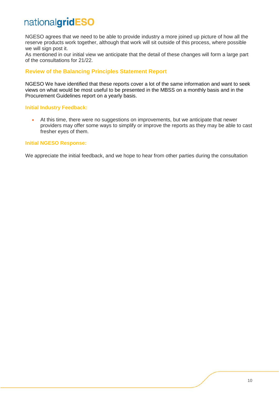NGESO agrees that we need to be able to provide industry a more joined up picture of how all the reserve products work together, although that work will sit outside of this process, where possible we will sign post it.

As mentioned in our initial view we anticipate that the detail of these changes will form a large part of the consultations for 21/22.

### **Review of the Balancing Principles Statement Report**

NGESO We have identified that these reports cover a lot of the same information and want to seek views on what would be most useful to be presented in the MBSS on a monthly basis and in the Procurement Guidelines report on a yearly basis.

### **Initial Industry Feedback:**

• At this time, there were no suggestions on improvements, but we anticipate that newer providers may offer some ways to simplify or improve the reports as they may be able to cast fresher eyes of them.

### **Initial NGESO Response:**

We appreciate the initial feedback, and we hope to hear from other parties during the consultation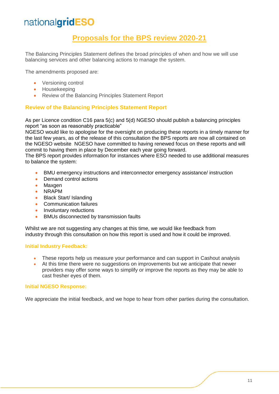### **Proposals for the BPS review 2020-21**

The Balancing Principles Statement defines the broad principles of when and how we will use balancing services and other balancing actions to manage the system.

The amendments proposed are:

- Versioning control
- Housekeeping
- Review of the Balancing Principles Statement Report

### **Review of the Balancing Principles Statement Report**

As per Licence condition C16 para 5(c) and 5(d) NGESO should publish a balancing principles report "as soon as reasonably practicable"

NGESO would like to apologise for the oversight on producing these reports in a timely manner for the last few years, as of the release of this consultation the BPS reports are now all contained on the NGESO website. NGESO have committed to having renewed focus on these reports and will commit to having them in place by December each year going forward.

The BPS report provides information for instances where ESO needed to use additional measures to balance the system:

- BMU emergency instructions and interconnector emergency assistance/ instruction
- Demand control actions
- Maxgen
- NRAPM
- Black Start/ Islanding
- Communication failures
- Involuntary reductions
- BMUs disconnected by transmission faults

Whilst we are not suggesting any changes at this time, we would like feedback from industry through this consultation on how this report is used and how it could be improved.

#### **Initial Industry Feedback:**

- These reports help us measure your performance and can support in Cashout analysis
- At this time there were no suggestions on improvements but we anticipate that newer providers may offer some ways to simplify or improve the reports as they may be able to cast fresher eyes of them.

### **Initial NGESO Response:**

We appreciate the initial feedback, and we hope to hear from other parties during the consultation.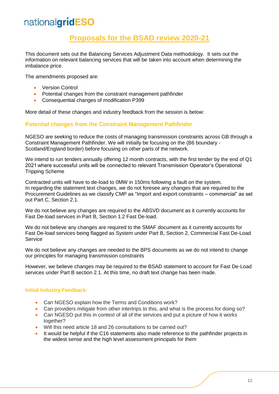### **Proposals for the BSAD review 2020-21**

This document sets out the Balancing Services Adjustment Data methodology. It sets out the information on relevant balancing services that will be taken into account when determining the imbalance price.

The amendments proposed are:

- Version Control
- Potential changes from the constraint management pathfinder
- Consequential changes of modification P399

More detail of these changes and industry feedback from the session is below:

### **Potential changes from the Constraint Management Pathfinder**

NGESO are seeking to reduce the costs of managing transmission constraints across GB through a Constraint Management Pathfinder. We will initially be focusing on the (B6 boundary - Scotland/England border) before focusing on other parts of the network.

We intend to run tenders annually offering 12 month contracts, with the first tender by the end of Q1 2021 where successful units will be connected to relevant Transmission Operator's Operational Tripping Scheme

Contracted units will have to de-load to 0MW in 150ms following a fault on the system. In regarding the statement text changes, we do not foresee any changes that are required to the Procurement Guidelines as we classify CMP as "Import and export constraints – commercial" as set out Part C, Section 2.1.

We do not believe any changes are required to the ABSVD document as it currently accounts for Fast De-load services in Part B, Section 1.2 Fast De-load. 

We do not believe any changes are required to the SMAF document as it currently accounts for Fast De-load services being flagged as System under Part B, Section 2, Commercial Fast De-Load **Service** 

We do not believe any changes are needed to the BPS documents as we do not intend to change our principles for managing transmission constraints

However, we believe changes may be required to the BSAD statement to account for Fast De-Load services under Part B section 2.1. At this time, no draft text change has been made.

### **Initial Industry Feedback:**

- Can NGESO explain how the Terms and Conditions work?
- Can providers mitigate from other intertrips to this, and what is the process for doing so?
- Can NGESO put this in context of all of the services and put a picture of how it works together?
- Will this need article 18 and 26 consultations to be carried out?
- It would be helpful if the C16 statements also made reference to the pathfinder projects in the widest sense and the high level assessment principals for them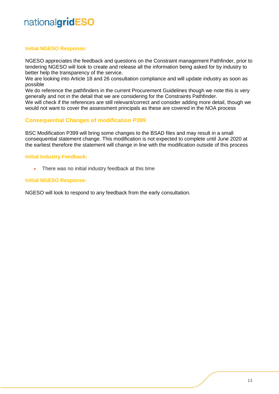### **Initial NGESO Response:**

NGESO appreciates the feedback and questions on the Constraint management Pathfinder, prior to tendering NGESO will look to create and release all the information being asked for by industry to better help the transparency of the service.

We are looking into Article 18 and 26 consultation compliance and will update industry as soon as possible

We do reference the pathfinders in the current Procurement Guidelines though we note this is very generally and not in the detail that we are considering for the Constraints Pathfinder.

We will check if the references are still relevant/correct and consider adding more detail, though we would not want to cover the assessment principals as these are covered in the NOA process

### **Consequential Changes of modification P399**

BSC Modification P399 will bring some changes to the BSAD files and may result in a small consequential statement change. This modification is not expected to complete until June 2020 at the earliest therefore the statement will change in line with the modification outside of this process

### **Initial Industry Feedback:**

• There was no initial industry feedback at this time

### **Initial NGESO Response:**

NGESO will look to respond to any feedback from the early consultation.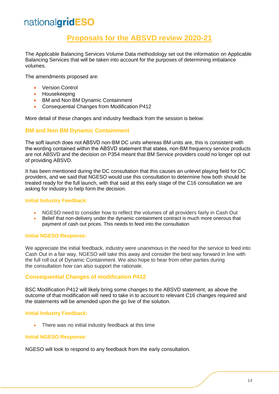### **Proposals for the ABSVD review 2020-21**

The Applicable Balancing Services Volume Data methodology set out the information on Applicable Balancing Services that will be taken into account for the purposes of determining imbalance volumes.

The amendments proposed are:

- **Version Control**
- Housekeeping
- BM and Non BM Dynamic Containment
- Consequential Changes from Modification P412

More detail of these changes and industry feedback from the session is below:

### **BM and Non BM Dynamic Containment**

The soft launch does not ABSVD non-BM DC units whereas BM units are, this is consistent with the wording contained within the ABSVD statement that states, non-BM frequency service products are not ABSVD and the decision on P354 meant that BM Service providers could no longer opt out of providing ABSVD.

It has been mentioned during the DC consultation that this causes an unlevel playing field for DC providers, and we said that NGESO would use this consultation to determine how both should be treated ready for the full launch, with that said at this early stage of the C16 consultation we are asking for industry to help form the decision.

#### **Initial Industry Feedback:**

- NGESO need to consider how to reflect the volumes of all providers fairly in Cash Out
- Belief that non-delivery under the dynamic containment contract is much more onerous that payment of cash out prices. This needs to feed into the consultation

#### **Initial NGESO Response:**

We appreciate the initial feedback, industry were unanimous in the need for the service to feed into Cash Out in a fair way, NGESO will take this away and consider the best way forward in line with the full roll out of Dynamic Containment. We also hope to hear from other parties during the consultation how can also support the rationale.

### **Consequential Changes of modification P412**

BSC Modification P412 will likely bring some changes to the ABSVD statement, as above the outcome of that modification will need to take in to account to relevant C16 changes required and the statements will be amended upon the go live of the solution.

#### **Initial Industry Feedback:**

• There was no initial industry feedback at this time

#### **Initial NGESO Response:**

NGESO will look to respond to any feedback from the early consultation.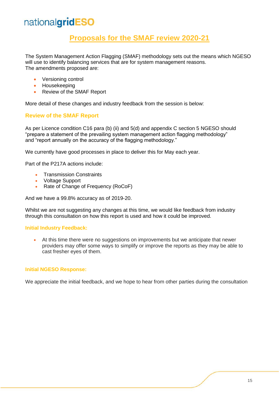### **Proposals for the SMAF review 2020-21**

The System Management Action Flagging (SMAF) methodology sets out the means which NGESO will use to identify balancing services that are for system management reasons. The amendments proposed are:

- Versioning control
- Housekeeping
- Review of the SMAF Report

More detail of these changes and industry feedback from the session is below:

### **Review of the SMAF Report**

As per Licence condition C16 para (b) (ii) and 5(d) and appendix C section 5 NGESO should "prepare a statement of the prevailing system management action flagging methodology" and "report annually on the accuracy of the flagging methodology."

We currently have good processes in place to deliver this for May each year.

Part of the P217A actions include:

- Transmission Constraints
- Voltage Support
- Rate of Change of Frequency (RoCoF)

And we have a 99.8% accuracy as of 2019-20.

Whilst we are not suggesting any changes at this time, we would like feedback from industry through this consultation on how this report is used and how it could be improved.

### **Initial Industry Feedback:**

• At this time there were no suggestions on improvements but we anticipate that newer providers may offer some ways to simplify or improve the reports as they may be able to cast fresher eyes of them.

### **Initial NGESO Response:**

We appreciate the initial feedback, and we hope to hear from other parties during the consultation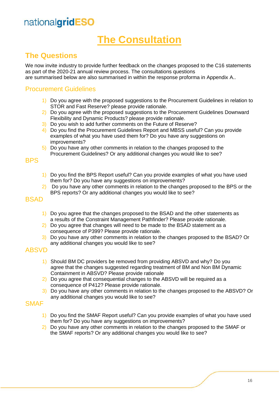## **The Consultation**

### **The Questions**

We now invite industry to provide further feedback on the changes proposed to the C16 statements as part of the 2020-21 annual review process. The consultations questions are summarised below are also summarised in within the response proforma in Appendix A..

### Procurement Guidelines

- 1) Do you agree with the proposed suggestions to the Procurement Guidelines in relation to STOR and Fast Reserve? please provide rationale.
- 2) Do you agree with the proposed suggestions to the Procurement Guidelines Downward Flexibility and Dynamic Products? please provide rationale.
- 3) Do you wish to add further comments on the Future of Reserve?
- 4) Do you find the Procurement Guidelines Report and MBSS useful? Can you provide examples of what you have used them for? Do you have any suggestions on improvements?
- 5) Do you have any other comments in relation to the changes proposed to the Procurement Guidelines? Or any additional changes you would like to see?

### **BPS**

- 1) Do you find the BPS Report useful? Can you provide examples of what you have used them for? Do you have any suggestions on improvements?
- 2) Do you have any other comments in relation to the changes proposed to the BPS or the BPS reports? Or any additional changes you would like to see?

### **BSAD**

- 1) Do you agree that the changes proposed to the BSAD and the other statements as a results of the Constraint Management Pathfinder? Please provide rationale.
- 2) Do you agree that changes will need to be made to the BSAD statement as a consequence of P399? Please provide rationale.
- 3) Do you have any other comments in relation to the changes proposed to the BSAD? Or any additional changes you would like to see?

### ABSVD

- 1) Should BM DC providers be removed from providing ABSVD and why? Do you agree that the changes suggested regarding treatment of BM and Non BM Dynamic Containment in ABSVD? Please provide rationale
- 2) Do you agree that consequential changes to the ABSVD will be required as a consequence of P412? Please provide rationale.
- 3) Do you have any other comments in relation to the changes proposed to the ABSVD? Or any additional changes you would like to see?

### SMAF

- 1) Do you find the SMAF Report useful? Can you provide examples of what you have used them for? Do you have any suggestions on improvements?
- 2) Do you have any other comments in relation to the changes proposed to the SMAF or the SMAF reports? Or any additional changes you would like to see?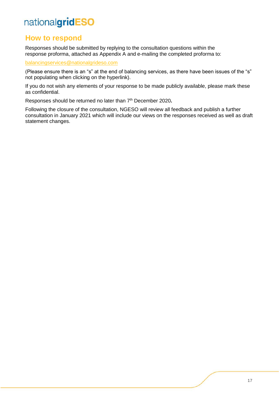### **How to respond**

Responses should be submitted by replying to the consultation questions within the response proforma, attached as Appendix A and e-mailing the completed proforma to:

[balancingservices@nationalgrideso.com](mailto:balancingservices@nationalgrideso.com)

(Please ensure there is an "s" at the end of balancing services, as there have been issues of the "s" not populating when clicking on the hyperlink).

If you do not wish any elements of your response to be made publicly available, please mark these as confidential.

Responses should be returned no later than 7th December 2020**.**

Following the closure of the consultation, NGESO will review all feedback and publish a further consultation in January 2021 which will include our views on the responses received as well as draft statement changes.